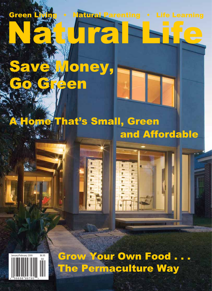## [Natural Life](http://www.naturallifemagazine.com) **Green Living • Natural Parenting • Life Learning** oney, een

### **Iome That's Small, Green** and Affordable

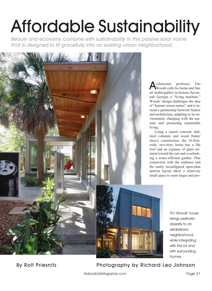# Affordable Sustainability

*Beauty and economy combine with sustainability in this passive solar home that is designed to fit gracefully into an existing urban neighborhood,*



Architecture professor Tim Woods calls his home and fine art studio/gallery in historic Savannah Georgia a "living machine." Woods' design challenges the idea of "human versus nature" and is instead a partnership between Nature and architecture, adapting to its environment, changing with the seasons and promoting sustainable living.

Using a raised concrete slab, steel columns and wood frame/ stucco construction, the 16-footwide, two-story home has a flat roof and an expanse of glass oriented toward the sun and overlooking a water-efficient garden. That connection with the outdoors and the easily reconfigured open-plan interior layout allow a relatively small space to seem larger and pro-



### By Rolf Priesnitz Photography by Richard Leo Johnson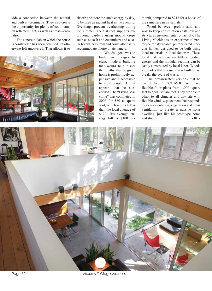vide a connection between the natural and built environments. They also create the opportunity for plenty of cool, natural reflected light, as well as cross-ventilation.

The concrete slab on which the house is constructed has been polished but otherwise left uncovered. That allows it to

absorb and store the sun's energy by day, to be used as radiant heat in the evening. Overhangs prevent overheating during the summer. The flat roof supports hydroponic gardens using mound crops such as squash and cucumbers and a solar hot water system and could also easily accommodate photovoltaic panels.



month, compared to \$215 for a house of the same size in Savannah.

Woods believes in prefabrication as a way to keep construction costs low and structures environmentally-friendly. The Living Machine is an experimental prototype for affordable, prefabricated modular homes, designed to be built using local materials in local factories. These local materials contain little embodied energy and the modular sections can be easily constructed by local labor. Woods also notes that a house that is built to last breaks the cycle of waste.

The prefabricated versions that he has dubbed "LOCI MODulars" have flexible floor plans from 1,000 square feet to 3,500 square feet. They are able to adapt to all climates and any site with flexible window placement that responds to solar orientation, vegetation and cross ventilation to create a passive solar dwelling, just like his prototype home and studio.  $\blacksquare$ 



*Page 32 [NaturalLifeMagazine.com](http://www.naturallifemagazine.com)*